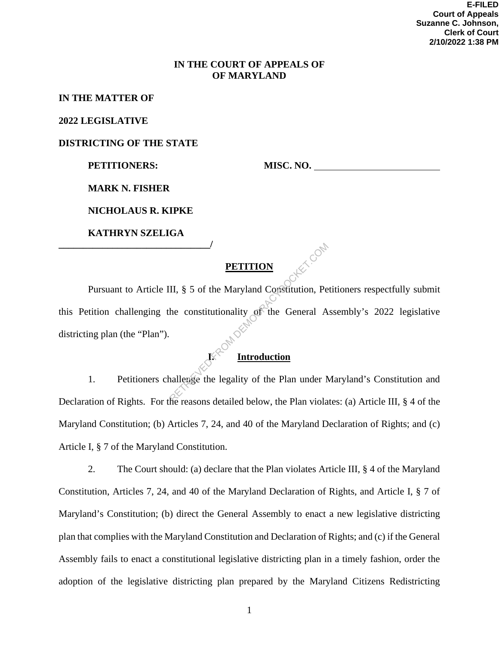#### **IN THE COURT OF APPEALS OF OF MARYLAND**

#### **IN THE MATTER OF**

**2022 LEGISLATIVE** 

**DISTRICTING OF THE STATE** 

PETITIONERS: MISC. NO.

**MARK N. FISHER** 

**NICHOLAUS R. KIPKE** 

**KATHRYN SZELIGA \_\_\_\_\_\_\_\_\_\_\_\_\_\_\_\_\_\_\_\_\_\_\_\_\_\_\_\_\_\_\_/** 

#### **PETITION**

Pursuant to Article III, § 5 of the Maryland Constitution, Petitioners respectfully submit this Petition challenging the constitutionality of the General Assembly's 2022 legislative districting plan (the "Plan"). **I. Introduction PETITION**<br>II, § 5 of the Maryland Constitution, Pe<br>he constitutionality of the General A<br>Execution allenge the legality of the Plan under N

1. Petitioners challenge the legality of the Plan under Maryland's Constitution and Declaration of Rights. For the reasons detailed below, the Plan violates: (a) Article III, § 4 of the Maryland Constitution; (b) Articles 7, 24, and 40 of the Maryland Declaration of Rights; and (c) Article I, § 7 of the Maryland Constitution.

2. The Court should: (a) declare that the Plan violates Article III, § 4 of the Maryland Constitution, Articles 7, 24, and 40 of the Maryland Declaration of Rights, and Article I, § 7 of Maryland's Constitution; (b) direct the General Assembly to enact a new legislative districting plan that complies with the Maryland Constitution and Declaration of Rights; and (c) if the General Assembly fails to enact a constitutional legislative districting plan in a timely fashion, order the adoption of the legislative districting plan prepared by the Maryland Citizens Redistricting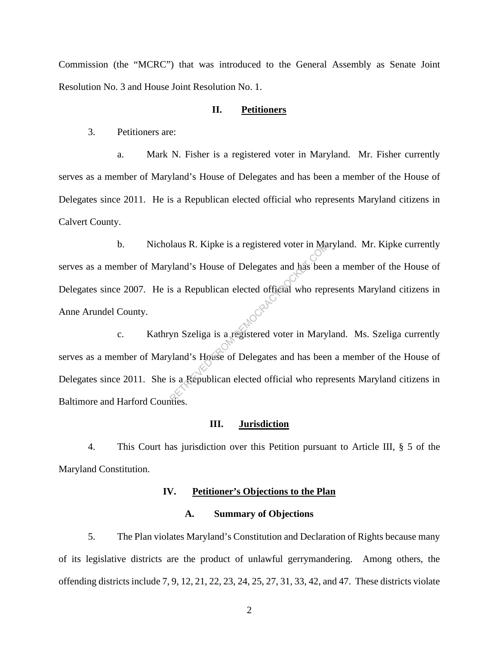Commission (the "MCRC") that was introduced to the General Assembly as Senate Joint Resolution No. 3 and House Joint Resolution No. 1.

#### **II. Petitioners**

3. Petitioners are:

a. Mark N. Fisher is a registered voter in Maryland. Mr. Fisher currently serves as a member of Maryland's House of Delegates and has been a member of the House of Delegates since 2011. He is a Republican elected official who represents Maryland citizens in Calvert County.

b. Nicholaus R. Kipke is a registered voter in Maryland. Mr. Kipke currently serves as a member of Maryland's House of Delegates and has been a member of the House of Delegates since 2007. He is a Republican elected official who represents Maryland citizens in Anne Arundel County. Pland's House of Delegates and has been<br>a Republican elected official who represents a Republican elected official who represents<br>a Republican elected voter in Mary<br>pland's House of Delegates and has been<br>is a Republican e

c. Kathryn Szeliga is a registered voter in Maryland. Ms. Szeliga currently serves as a member of Maryland's House of Delegates and has been a member of the House of Delegates since 2011. She is a Republican elected official who represents Maryland citizens in Baltimore and Harford Counties.

#### **III. Jurisdiction**

4. This Court has jurisdiction over this Petition pursuant to Article III, § 5 of the Maryland Constitution.

#### **IV. Petitioner's Objections to the Plan**

#### **A. Summary of Objections**

5. The Plan violates Maryland's Constitution and Declaration of Rights because many of its legislative districts are the product of unlawful gerrymandering. Among others, the offending districts include 7, 9, 12, 21, 22, 23, 24, 25, 27, 31, 33, 42, and 47. These districts violate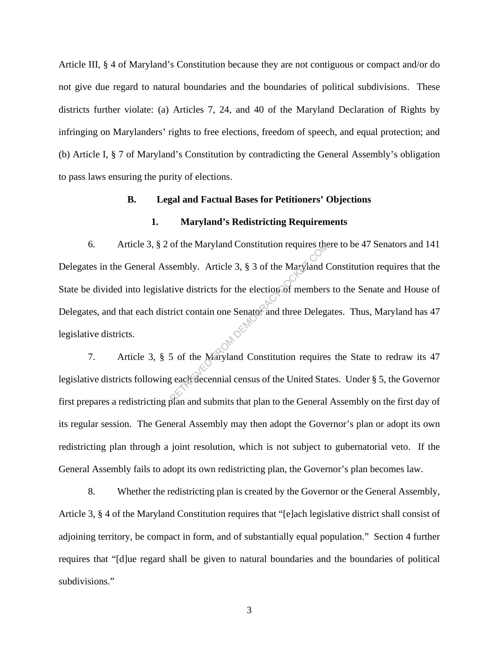Article III, § 4 of Maryland's Constitution because they are not contiguous or compact and/or do not give due regard to natural boundaries and the boundaries of political subdivisions. These districts further violate: (a) Articles 7, 24, and 40 of the Maryland Declaration of Rights by infringing on Marylanders' rights to free elections, freedom of speech, and equal protection; and (b) Article I, § 7 of Maryland's Constitution by contradicting the General Assembly's obligation to pass laws ensuring the purity of elections.

#### **B. Legal and Factual Bases for Petitioners' Objections**

#### **1. Maryland's Redistricting Requirements**

6. Article 3, § 2 of the Maryland Constitution requires there to be 47 Senators and 141 Delegates in the General Assembly. Article 3, § 3 of the Maryland Constitution requires that the State be divided into legislative districts for the election of members to the Senate and House of Delegates, and that each district contain one Senator and three Delegates. Thus, Maryland has 47 legislative districts. of the Maryland Constitution requires the<br>sembly. Article 3, § 3 of the Maryland C<br>tive districts for the election of members<br>rict contain one Senator and three Delegare<br>orient contains of the Maryland Constitution require

7. Article 3, § 5 of the Maryland Constitution requires the State to redraw its 47 legislative districts following each decennial census of the United States. Under § 5, the Governor first prepares a redistricting plan and submits that plan to the General Assembly on the first day of its regular session. The General Assembly may then adopt the Governor's plan or adopt its own redistricting plan through a joint resolution, which is not subject to gubernatorial veto. If the General Assembly fails to adopt its own redistricting plan, the Governor's plan becomes law.

8. Whether the redistricting plan is created by the Governor or the General Assembly, Article 3, § 4 of the Maryland Constitution requires that "[e]ach legislative district shall consist of adjoining territory, be compact in form, and of substantially equal population." Section 4 further requires that "[d]ue regard shall be given to natural boundaries and the boundaries of political subdivisions."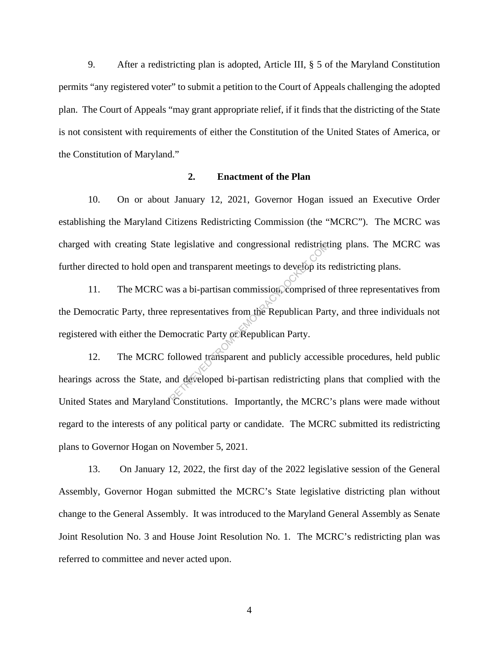9. After a redistricting plan is adopted, Article III, § 5 of the Maryland Constitution permits "any registered voter" to submit a petition to the Court of Appeals challenging the adopted plan. The Court of Appeals "may grant appropriate relief, if it finds that the districting of the State is not consistent with requirements of either the Constitution of the United States of America, or the Constitution of Maryland."

#### **2. Enactment of the Plan**

10. On or about January 12, 2021, Governor Hogan issued an Executive Order establishing the Maryland Citizens Redistricting Commission (the "MCRC"). The MCRC was charged with creating State legislative and congressional redistricting plans. The MCRC was further directed to hold open and transparent meetings to develop its redistricting plans.

11. The MCRC was a bi-partisan commission, comprised of three representatives from the Democratic Party, three representatives from the Republican Party, and three individuals not registered with either the Democratic Party or Republican Party. Regislative and congressional redistrict<br>
and transparent meetings to develop its<br>
was a bi-partisan commission, comprised<br>
representatives from the Republican Part<br>
mocratic Party of Republican Party.<br>
Followed transparen

12. The MCRC followed transparent and publicly accessible procedures, held public hearings across the State, and developed bi-partisan redistricting plans that complied with the United States and Maryland Constitutions. Importantly, the MCRC's plans were made without regard to the interests of any political party or candidate. The MCRC submitted its redistricting plans to Governor Hogan on November 5, 2021.

13. On January 12, 2022, the first day of the 2022 legislative session of the General Assembly, Governor Hogan submitted the MCRC's State legislative districting plan without change to the General Assembly. It was introduced to the Maryland General Assembly as Senate Joint Resolution No. 3 and House Joint Resolution No. 1. The MCRC's redistricting plan was referred to committee and never acted upon.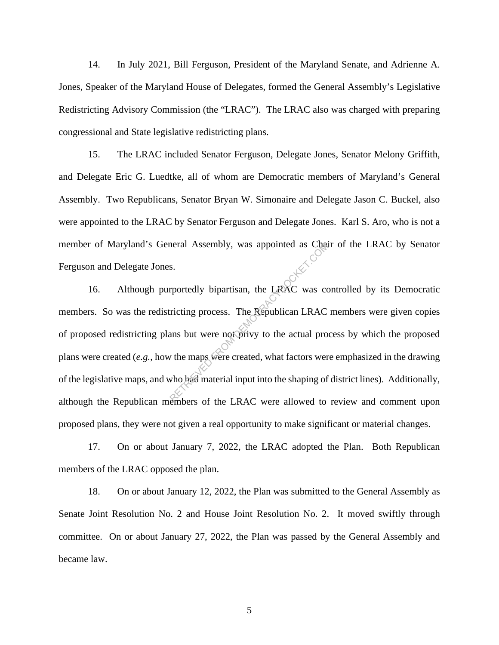14. In July 2021, Bill Ferguson, President of the Maryland Senate, and Adrienne A. Jones, Speaker of the Maryland House of Delegates, formed the General Assembly's Legislative Redistricting Advisory Commission (the "LRAC"). The LRAC also was charged with preparing congressional and State legislative redistricting plans.

15. The LRAC included Senator Ferguson, Delegate Jones, Senator Melony Griffith, and Delegate Eric G. Luedtke, all of whom are Democratic members of Maryland's General Assembly. Two Republicans, Senator Bryan W. Simonaire and Delegate Jason C. Buckel, also were appointed to the LRAC by Senator Ferguson and Delegate Jones. Karl S. Aro, who is not a member of Maryland's General Assembly, was appointed as Chair of the LRAC by Senator Ferguson and Delegate Jones.

16. Although purportedly bipartisan, the LRAC was controlled by its Democratic members. So was the redistricting process. The Republican LRAC members were given copies of proposed redistricting plans but were not privy to the actual process by which the proposed plans were created (*e.g.*, how the maps were created, what factors were emphasized in the drawing of the legislative maps, and who had material input into the shaping of district lines). Additionally, although the Republican members of the LRAC were allowed to review and comment upon proposed plans, they were not given a real opportunity to make significant or material changes. Reportedly bipartisan, the LRAC was contributed as Change of the LRAC was contributed by the Republican LRAC<br>ans but were not privy to the actual pro<br>v the maps were created, what factors were who had material input into t

17. On or about January 7, 2022, the LRAC adopted the Plan. Both Republican members of the LRAC opposed the plan.

18. On or about January 12, 2022, the Plan was submitted to the General Assembly as Senate Joint Resolution No. 2 and House Joint Resolution No. 2. It moved swiftly through committee. On or about January 27, 2022, the Plan was passed by the General Assembly and became law.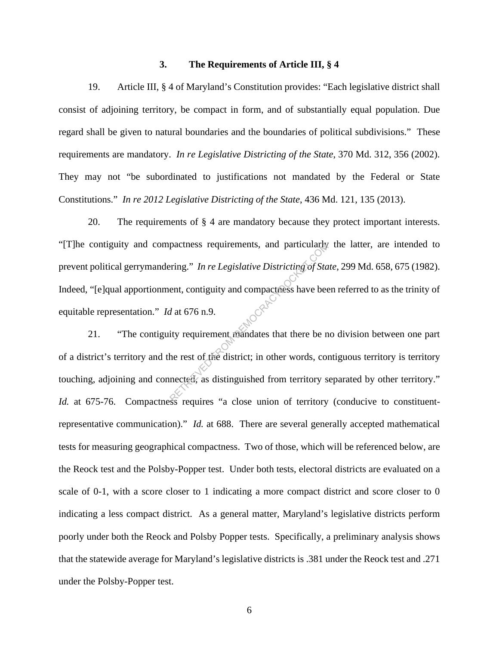#### **3. The Requirements of Article III, § 4**

19. Article III, § 4 of Maryland's Constitution provides: "Each legislative district shall consist of adjoining territory, be compact in form, and of substantially equal population. Due regard shall be given to natural boundaries and the boundaries of political subdivisions." These requirements are mandatory. *In re Legislative Districting of the State*, 370 Md. 312, 356 (2002). They may not "be subordinated to justifications not mandated by the Federal or State Constitutions." *In re 2012 Legislative Districting of the State*, 436 Md. 121, 135 (2013).

20. The requirements of § 4 are mandatory because they protect important interests. "[T]he contiguity and compactness requirements, and particularly the latter, are intended to prevent political gerrymandering." *In re Legislative Districting of State*, 299 Md. 658, 675 (1982). Indeed, "[e]qual apportionment, contiguity and compactness have been referred to as the trinity of equitable representation." *Id* at 676 n.9. pactness requirements, and particularly<br>
ering." In re Legislative Districting of Sta<br>
ent, contiguity and compactness have bee<br>
d at 676 n.9.<br>
ity requirement mandates that there be n<br>
he rest of the district; in other wo

21. "The contiguity requirement mandates that there be no division between one part of a district's territory and the rest of the district; in other words, contiguous territory is territory touching, adjoining and connected, as distinguished from territory separated by other territory." *Id.* at 675-76. Compactness requires "a close union of territory (conducive to constituentrepresentative communication)." *Id.* at 688. There are several generally accepted mathematical tests for measuring geographical compactness. Two of those, which will be referenced below, are the Reock test and the Polsby-Popper test. Under both tests, electoral districts are evaluated on a scale of 0-1, with a score closer to 1 indicating a more compact district and score closer to 0 indicating a less compact district. As a general matter, Maryland's legislative districts perform poorly under both the Reock and Polsby Popper tests. Specifically, a preliminary analysis shows that the statewide average for Maryland's legislative districts is .381 under the Reock test and .271 under the Polsby-Popper test.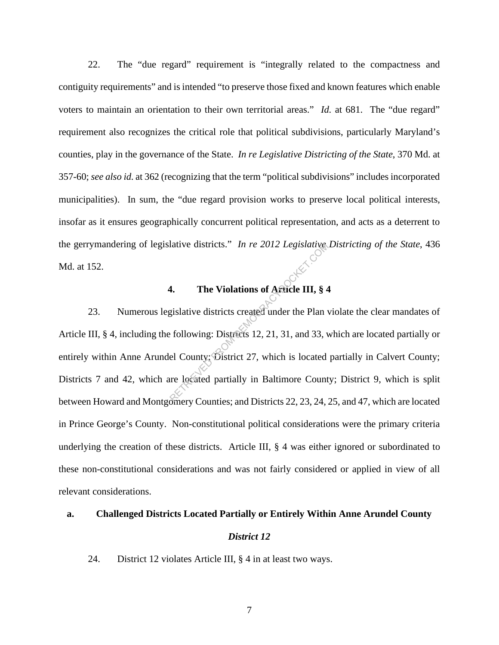22. The "due regard" requirement is "integrally related to the compactness and contiguity requirements" and is intended "to preserve those fixed and known features which enable voters to maintain an orientation to their own territorial areas." *Id.* at 681. The "due regard" requirement also recognizes the critical role that political subdivisions, particularly Maryland's counties, play in the governance of the State. *In re Legislative Districting of the State*, 370 Md. at 357-60; *see also id.* at 362 (recognizing that the term "political subdivisions" includes incorporated municipalities). In sum, the "due regard provision works to preserve local political interests, insofar as it ensures geographically concurrent political representation, and acts as a deterrent to the gerrymandering of legislative districts." *In re 2012 Legislative Districting of the State*, 436 Md. at 152.

### **4. The Violations of Article III, § 4**

23. Numerous legislative districts created under the Plan violate the clear mandates of Article III, § 4, including the following: Districts 12, 21, 31, and 33, which are located partially or entirely within Anne Arundel County; District 27, which is located partially in Calvert County; Districts 7 and 42, which are located partially in Baltimore County; District 9, which is split between Howard and Montgomery Counties; and Districts 22, 23, 24, 25, and 47, which are located in Prince George's County. Non-constitutional political considerations were the primary criteria underlying the creation of these districts. Article III, § 4 was either ignored or subordinated to these non-constitutional considerations and was not fairly considered or applied in view of all relevant considerations. The Violations of Afflickers (September 2012)<br>
Republicancy Contains of Afflickers (September 21, 8<br>
1998)<br>
Exploring: Districts 12, 21, 31, and 33, v<br>
el County: District 27, which is located<br>
the located partially in Bal

#### **a. Challenged Districts Located Partially or Entirely Within Anne Arundel County**

#### *District 12*

24. District 12 violates Article III, § 4 in at least two ways.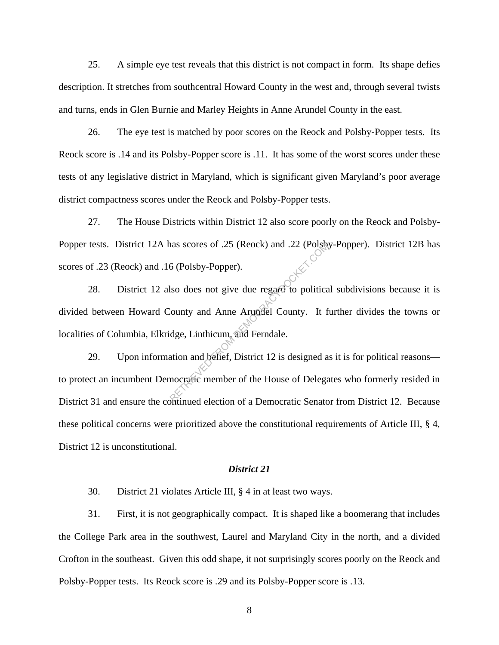25. A simple eye test reveals that this district is not compact in form. Its shape defies description. It stretches from southcentral Howard County in the west and, through several twists and turns, ends in Glen Burnie and Marley Heights in Anne Arundel County in the east.

26. The eye test is matched by poor scores on the Reock and Polsby-Popper tests. Its Reock score is .14 and its Polsby-Popper score is .11. It has some of the worst scores under these tests of any legislative district in Maryland, which is significant given Maryland's poor average district compactness scores under the Reock and Polsby-Popper tests.

27. The House Districts within District 12 also score poorly on the Reock and Polsby-Popper tests. District 12A has scores of .25 (Reock) and .22 (Polsby-Popper). District 12B has scores of .23 (Reock) and .16 (Polsby-Popper).

28. District 12 also does not give due regard to political subdivisions because it is divided between Howard County and Anne Arundel County. It further divides the towns or localities of Columbia, Elkridge, Linthicum, and Ferndale. The Renaissance of AS (Reock) and A22 (Polson)<br>6 (Polsby-Popper).<br>So does not give due regard to politica<br>County and Anne Arundel County. It for demonstration and belief, District 12 is designed a<br>nocratic member of the Ho

29. Upon information and belief, District 12 is designed as it is for political reasons to protect an incumbent Democratic member of the House of Delegates who formerly resided in District 31 and ensure the continued election of a Democratic Senator from District 12. Because these political concerns were prioritized above the constitutional requirements of Article III, § 4, District 12 is unconstitutional.

#### *District 21*

30. District 21 violates Article III, § 4 in at least two ways.

31. First, it is not geographically compact. It is shaped like a boomerang that includes the College Park area in the southwest, Laurel and Maryland City in the north, and a divided Crofton in the southeast. Given this odd shape, it not surprisingly scores poorly on the Reock and Polsby-Popper tests. Its Reock score is .29 and its Polsby-Popper score is .13.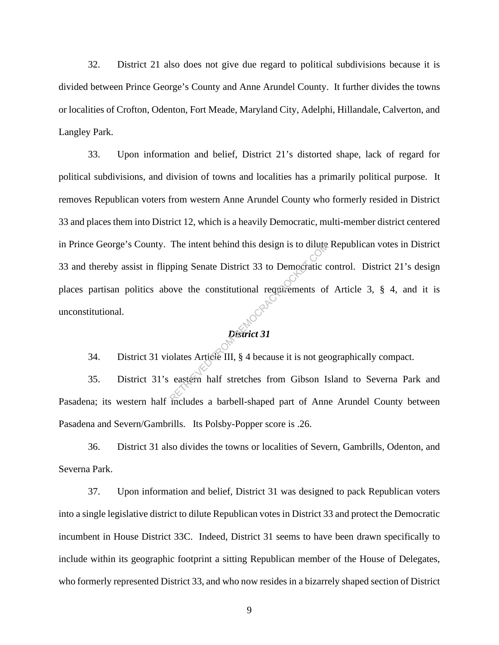32. District 21 also does not give due regard to political subdivisions because it is divided between Prince George's County and Anne Arundel County. It further divides the towns or localities of Crofton, Odenton, Fort Meade, Maryland City, Adelphi, Hillandale, Calverton, and Langley Park.

33. Upon information and belief, District 21's distorted shape, lack of regard for political subdivisions, and division of towns and localities has a primarily political purpose. It removes Republican voters from western Anne Arundel County who formerly resided in District 33 and places them into District 12, which is a heavily Democratic, multi-member district centered in Prince George's County. The intent behind this design is to dilute Republican votes in District 33 and thereby assist in flipping Senate District 33 to Democratic control. District 21's design places partisan politics above the constitutional requirements of Article 3, § 4, and it is unconstitutional. The intent behind this design is to dilute<br>ping Senate District 33 to Democratic covers the constitutional requirements of<br>provided as Article III, § 4 because it is not get<br>eastern half stretches from Gibson Is

# *District 31*

34. District 31 violates Article III, § 4 because it is not geographically compact.

35. District 31's eastern half stretches from Gibson Island to Severna Park and Pasadena; its western half includes a barbell-shaped part of Anne Arundel County between Pasadena and Severn/Gambrills. Its Polsby-Popper score is .26.

36. District 31 also divides the towns or localities of Severn, Gambrills, Odenton, and Severna Park.

37. Upon information and belief, District 31 was designed to pack Republican voters into a single legislative district to dilute Republican votes in District 33 and protect the Democratic incumbent in House District 33C. Indeed, District 31 seems to have been drawn specifically to include within its geographic footprint a sitting Republican member of the House of Delegates, who formerly represented District 33, and who now resides in a bizarrely shaped section of District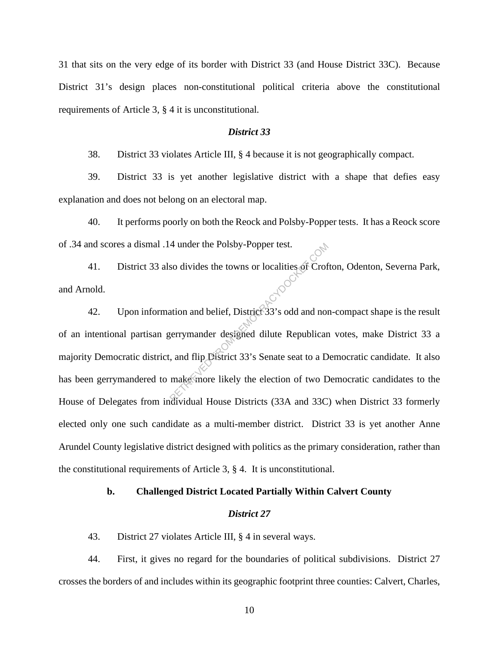31 that sits on the very edge of its border with District 33 (and House District 33C). Because District 31's design places non-constitutional political criteria above the constitutional requirements of Article 3, § 4 it is unconstitutional.

#### *District 33*

38. District 33 violates Article III, § 4 because it is not geographically compact.

39. District 33 is yet another legislative district with a shape that defies easy explanation and does not belong on an electoral map.

40. It performs poorly on both the Reock and Polsby-Popper tests. It has a Reock score of .34 and scores a dismal .14 under the Polsby-Popper test.

41. District 33 also divides the towns or localities of Crofton, Odenton, Severna Park, and Arnold.

42. Upon information and belief, District 33's odd and non-compact shape is the result of an intentional partisan gerrymander designed dilute Republican votes, make District 33 a majority Democratic district, and flip District 33's Senate seat to a Democratic candidate. It also has been gerrymandered to make more likely the election of two Democratic candidates to the House of Delegates from individual House Districts (33A and 33C) when District 33 formerly elected only one such candidate as a multi-member district. District 33 is yet another Anne Arundel County legislative district designed with politics as the primary consideration, rather than the constitutional requirements of Article 3, § 4. It is unconstitutional. 4 under the Polsby-Popper test.<br>
so divides the towns or localities of Crof<br>
ation and belief, District 33's odd and not<br>
gerrymander designed dilute Republican<br>
ation of two D<br>
make more likely the election of two D<br>
div

#### **b. Challenged District Located Partially Within Calvert County**

#### *District 27*

43. District 27 violates Article III, § 4 in several ways.

44. First, it gives no regard for the boundaries of political subdivisions. District 27 crosses the borders of and includes within its geographic footprint three counties: Calvert, Charles,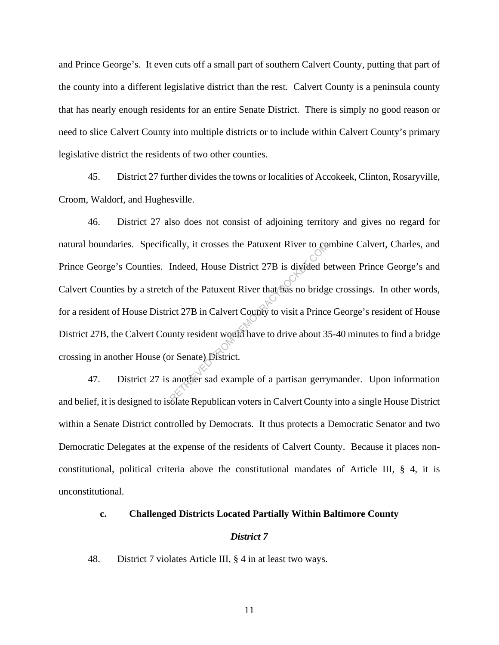and Prince George's. It even cuts off a small part of southern Calvert County, putting that part of the county into a different legislative district than the rest. Calvert County is a peninsula county that has nearly enough residents for an entire Senate District. There is simply no good reason or need to slice Calvert County into multiple districts or to include within Calvert County's primary legislative district the residents of two other counties.

45. District 27 further divides the towns or localities of Accokeek, Clinton, Rosaryville, Croom, Waldorf, and Hughesville.

46. District 27 also does not consist of adjoining territory and gives no regard for natural boundaries. Specifically, it crosses the Patuxent River to combine Calvert, Charles, and Prince George's Counties. Indeed, House District 27B is divided between Prince George's and Calvert Counties by a stretch of the Patuxent River that has no bridge crossings. In other words, for a resident of House District 27B in Calvert County to visit a Prince George's resident of House District 27B, the Calvert County resident would have to drive about 35-40 minutes to find a bridge crossing in another House (or Senate) District. Example of a partisan gerry<br>
Retrieve District 27B is divided by<br>
the Patuxent River that has no bridg<br>
ict 27B in Calvert County to visit a Prince<br>
unty resident would have to drive about 3.<br>
or Senate) District.<br>
another

47. District 27 is another sad example of a partisan gerrymander. Upon information and belief, it is designed to isolate Republican voters in Calvert County into a single House District within a Senate District controlled by Democrats. It thus protects a Democratic Senator and two Democratic Delegates at the expense of the residents of Calvert County. Because it places nonconstitutional, political criteria above the constitutional mandates of Article III, § 4, it is unconstitutional.

#### **c. Challenged Districts Located Partially Within Baltimore County**

#### *District 7*

48. District 7 violates Article III, § 4 in at least two ways.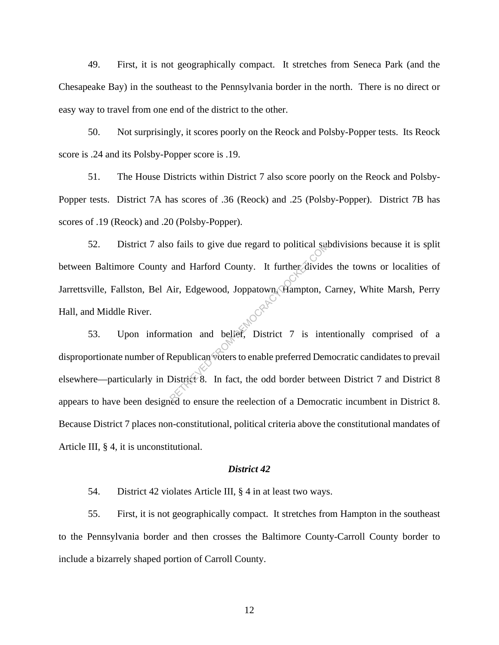49. First, it is not geographically compact. It stretches from Seneca Park (and the Chesapeake Bay) in the southeast to the Pennsylvania border in the north. There is no direct or easy way to travel from one end of the district to the other.

50. Not surprisingly, it scores poorly on the Reock and Polsby-Popper tests. Its Reock score is .24 and its Polsby-Popper score is .19.

51. The House Districts within District 7 also score poorly on the Reock and Polsby-Popper tests. District 7A has scores of .36 (Reock) and .25 (Polsby-Popper). District 7B has scores of .19 (Reock) and .20 (Polsby-Popper).

52. District 7 also fails to give due regard to political subdivisions because it is split between Baltimore County and Harford County. It further divides the towns or localities of Jarrettsville, Fallston, Bel Air, Edgewood, Joppatown, Hampton, Carney, White Marsh, Perry Hall, and Middle River. The Republican voters to enable preferred Democration and belief. District 7 is interestingly and to ensure the redection of a Democration of a Democration of a Democration of a Democration of a Democration of a Democratio

53. Upon information and belief, District 7 is intentionally comprised of a disproportionate number of Republican voters to enable preferred Democratic candidates to prevail elsewhere—particularly in District 8. In fact, the odd border between District 7 and District 8 appears to have been designed to ensure the reelection of a Democratic incumbent in District 8. Because District 7 places non-constitutional, political criteria above the constitutional mandates of Article III, § 4, it is unconstitutional.

#### *District 42*

54. District 42 violates Article III, § 4 in at least two ways.

55. First, it is not geographically compact. It stretches from Hampton in the southeast to the Pennsylvania border and then crosses the Baltimore County-Carroll County border to include a bizarrely shaped portion of Carroll County.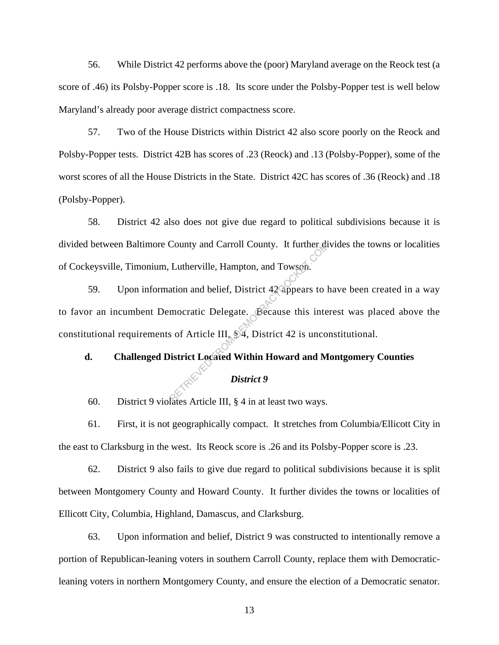56. While District 42 performs above the (poor) Maryland average on the Reock test (a score of .46) its Polsby-Popper score is .18. Its score under the Polsby-Popper test is well below Maryland's already poor average district compactness score.

57. Two of the House Districts within District 42 also score poorly on the Reock and Polsby-Popper tests. District 42B has scores of .23 (Reock) and .13 (Polsby-Popper), some of the worst scores of all the House Districts in the State. District 42C has scores of .36 (Reock) and .18 (Polsby-Popper).

58. District 42 also does not give due regard to political subdivisions because it is divided between Baltimore County and Carroll County. It further divides the towns or localities of Cockeysville, Timonium, Lutherville, Hampton, and Towson.

59. Upon information and belief, District 42 appears to have been created in a way to favor an incumbent Democratic Delegate. Because this interest was placed above the constitutional requirements of Article III, § 4, District 42 is unconstitutional. County and Carroll County. It further diversible.<br>
Lutherville, Hampton, and Towson.<br>
ation and belief, District 42 appears to 1<br>
mocratic Delegate. Because this inte<br>
s of Article III, \$4, District 42 is unco<br>
istrict Loc

## **d. Challenged District Located Within Howard and Montgomery Counties**

#### *District 9*

60. District 9 violates Article III, § 4 in at least two ways.

61. First, it is not geographically compact. It stretches from Columbia/Ellicott City in the east to Clarksburg in the west. Its Reock score is .26 and its Polsby-Popper score is .23.

62. District 9 also fails to give due regard to political subdivisions because it is split between Montgomery County and Howard County. It further divides the towns or localities of Ellicott City, Columbia, Highland, Damascus, and Clarksburg.

63. Upon information and belief, District 9 was constructed to intentionally remove a portion of Republican-leaning voters in southern Carroll County, replace them with Democraticleaning voters in northern Montgomery County, and ensure the election of a Democratic senator.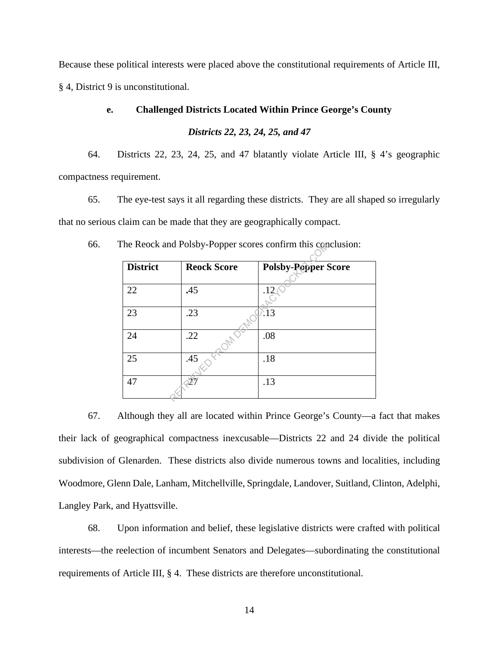Because these political interests were placed above the constitutional requirements of Article III, § 4, District 9 is unconstitutional.

#### **e. Challenged Districts Located Within Prince George's County**

*Districts 22, 23, 24, 25, and 47* 

64. Districts 22, 23, 24, 25, and 47 blatantly violate Article III, § 4's geographic compactness requirement.

65. The eye-test says it all regarding these districts. They are all shaped so irregularly that no serious claim can be made that they are geographically compact.

| <b>District</b> | <b>Reock Score</b> | <b>Polsby-Popper Score</b> |
|-----------------|--------------------|----------------------------|
| 22              | .45                | .12                        |
| 23              | .23                | :13                        |
| 24              | .22                | .08                        |
| 25              | .45                | .18                        |
| 47              |                    | .13                        |

66. The Reock and Polsby-Popper scores confirm this conclusion:

67. Although they all are located within Prince George's County—a fact that makes their lack of geographical compactness inexcusable—Districts 22 and 24 divide the political subdivision of Glenarden. These districts also divide numerous towns and localities, including Woodmore, Glenn Dale, Lanham, Mitchellville, Springdale, Landover, Suitland, Clinton, Adelphi, Langley Park, and Hyattsville.

68. Upon information and belief, these legislative districts were crafted with political interests—the reelection of incumbent Senators and Delegates—subordinating the constitutional requirements of Article III, § 4. These districts are therefore unconstitutional.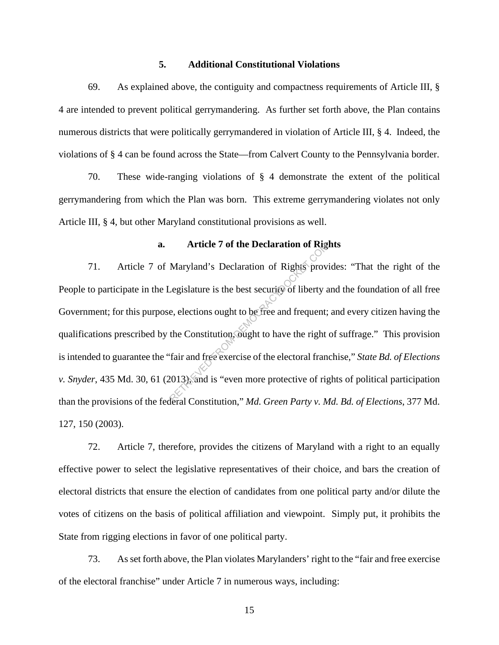#### **5. Additional Constitutional Violations**

69. As explained above, the contiguity and compactness requirements of Article III, § 4 are intended to prevent political gerrymandering. As further set forth above, the Plan contains numerous districts that were politically gerrymandered in violation of Article III, § 4. Indeed, the violations of § 4 can be found across the State—from Calvert County to the Pennsylvania border.

70. These wide-ranging violations of § 4 demonstrate the extent of the political gerrymandering from which the Plan was born. This extreme gerrymandering violates not only Article III, § 4, but other Maryland constitutional provisions as well.

#### **a. Article 7 of the Declaration of Rights**

71. Article 7 of Maryland's Declaration of Rights provides: "That the right of the People to participate in the Legislature is the best security of liberty and the foundation of all free Government; for this purpose, elections ought to be free and frequent; and every citizen having the qualifications prescribed by the Constitution, ought to have the right of suffrage." This provision is intended to guarantee the "fair and free exercise of the electoral franchise," *State Bd. of Elections v. Snyder*, 435 Md. 30, 61 (2013), and is "even more protective of rights of political participation than the provisions of the federal Constitution," *Md. Green Party v. Md. Bd. of Elections*, 377 Md. 127, 150 (2003). Article 7 of the Declaration of Rights prov.<br>
Maryland's Declaration of Rights prov.<br>
Legislature is the best security of liberty and equent;<br>
the Constitution, ought to have the right<br>
fair and free exercise of the electo

72. Article 7, therefore, provides the citizens of Maryland with a right to an equally effective power to select the legislative representatives of their choice, and bars the creation of electoral districts that ensure the election of candidates from one political party and/or dilute the votes of citizens on the basis of political affiliation and viewpoint. Simply put, it prohibits the State from rigging elections in favor of one political party.

73. As set forth above, the Plan violates Marylanders' right to the "fair and free exercise of the electoral franchise" under Article 7 in numerous ways, including: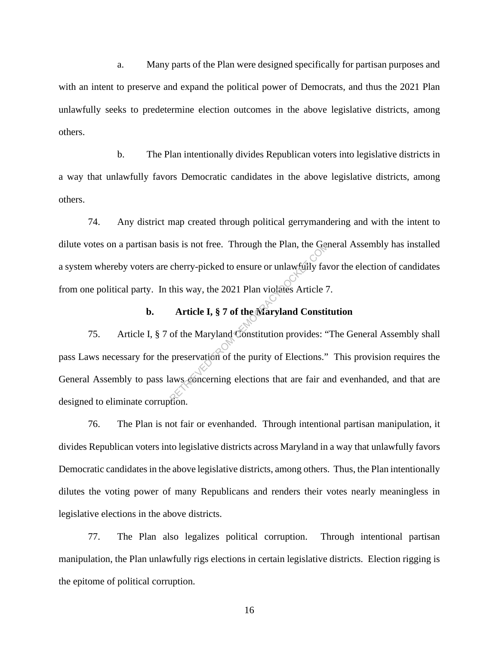a. Many parts of the Plan were designed specifically for partisan purposes and with an intent to preserve and expand the political power of Democrats, and thus the 2021 Plan unlawfully seeks to predetermine election outcomes in the above legislative districts, among others.

b. The Plan intentionally divides Republican voters into legislative districts in a way that unlawfully favors Democratic candidates in the above legislative districts, among others.

74. Any district map created through political gerrymandering and with the intent to dilute votes on a partisan basis is not free. Through the Plan, the General Assembly has installed a system whereby voters are cherry-picked to ensure or unlawfully favor the election of candidates from one political party. In this way, the 2021 Plan violates Article 7.

#### **b. Article I, § 7 of the Maryland Constitution**

75. Article I, § 7 of the Maryland Constitution provides: "The General Assembly shall pass Laws necessary for the preservation of the purity of Elections." This provision requires the General Assembly to pass laws concerning elections that are fair and evenhanded, and that are designed to eliminate corruption. SIS IS not free. Through the Plan, the General Cherry-picked to ensure or unlawfully fave this way, the 2021 Plan violates Article 7<br>Article I, § 7 of the Maryland Constitution from the Maryland Constitution provides: "<br>pr

76. The Plan is not fair or evenhanded. Through intentional partisan manipulation, it divides Republican voters into legislative districts across Maryland in a way that unlawfully favors Democratic candidates in the above legislative districts, among others. Thus, the Plan intentionally dilutes the voting power of many Republicans and renders their votes nearly meaningless in legislative elections in the above districts.

77. The Plan also legalizes political corruption. Through intentional partisan manipulation, the Plan unlawfully rigs elections in certain legislative districts. Election rigging is the epitome of political corruption.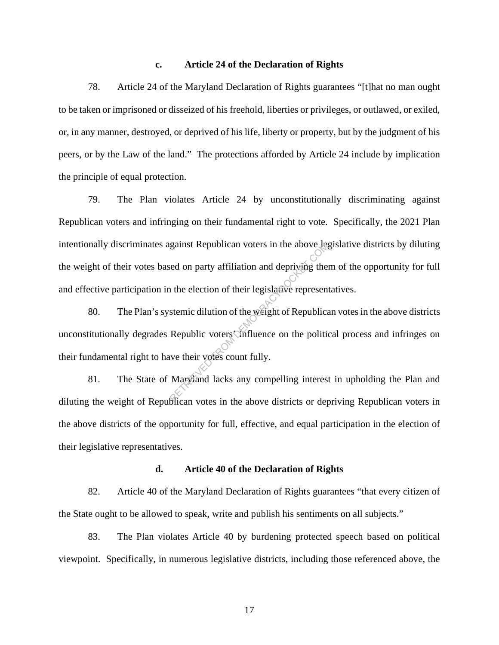#### **c. Article 24 of the Declaration of Rights**

78. Article 24 of the Maryland Declaration of Rights guarantees "[t]hat no man ought to be taken or imprisoned or disseized of his freehold, liberties or privileges, or outlawed, or exiled, or, in any manner, destroyed, or deprived of his life, liberty or property, but by the judgment of his peers, or by the Law of the land." The protections afforded by Article 24 include by implication the principle of equal protection.

79. The Plan violates Article 24 by unconstitutionally discriminating against Republican voters and infringing on their fundamental right to vote. Specifically, the 2021 Plan intentionally discriminates against Republican voters in the above legislative districts by diluting the weight of their votes based on party affiliation and depriving them of the opportunity for full and effective participation in the election of their legislative representatives.

80. The Plan's systemic dilution of the weight of Republican votes in the above districts unconstitutionally degrades Republic voters influence on the political process and infringes on their fundamental right to have their votes count fully. gainst Republican voters in the above lead on party affiliation and depriving the<br>
a the election of their legislative represent<br>
stemic dilution of the weight of Republica<br>
Republic voters Compelling on the politic<br>
we th

81. The State of Maryland lacks any compelling interest in upholding the Plan and diluting the weight of Republican votes in the above districts or depriving Republican voters in the above districts of the opportunity for full, effective, and equal participation in the election of their legislative representatives.

#### **d. Article 40 of the Declaration of Rights**

82. Article 40 of the Maryland Declaration of Rights guarantees "that every citizen of the State ought to be allowed to speak, write and publish his sentiments on all subjects."

83. The Plan violates Article 40 by burdening protected speech based on political viewpoint. Specifically, in numerous legislative districts, including those referenced above, the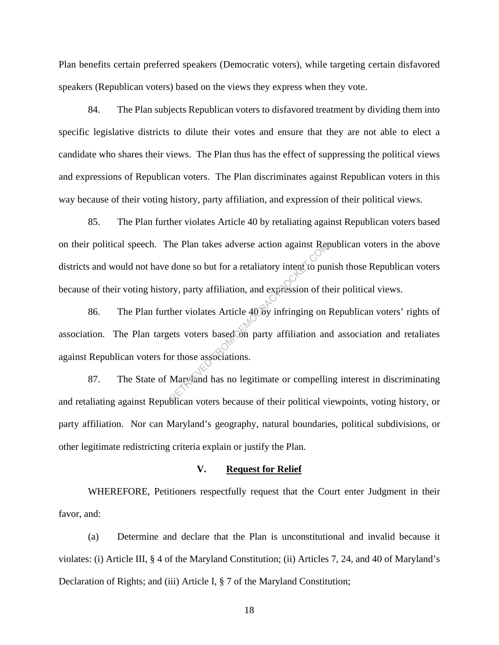Plan benefits certain preferred speakers (Democratic voters), while targeting certain disfavored speakers (Republican voters) based on the views they express when they vote.

84. The Plan subjects Republican voters to disfavored treatment by dividing them into specific legislative districts to dilute their votes and ensure that they are not able to elect a candidate who shares their views. The Plan thus has the effect of suppressing the political views and expressions of Republican voters. The Plan discriminates against Republican voters in this way because of their voting history, party affiliation, and expression of their political views.

85. The Plan further violates Article 40 by retaliating against Republican voters based on their political speech. The Plan takes adverse action against Republican voters in the above districts and would not have done so but for a retaliatory intent to punish those Republican voters because of their voting history, party affiliation, and expression of their political views.

86. The Plan further violates Article 40 by infringing on Republican voters' rights of association. The Plan targets voters based on party affiliation and association and retaliates against Republican voters for those associations. The Plan takes adverse action against Rep<br>done so but for a retaliatory intent to pure<br>ry, party affiliation, and expression of the<br>her violates Article 40 by infringing on<br>ets voters based on party affiliation and<br>or thos

87. The State of Maryland has no legitimate or compelling interest in discriminating and retaliating against Republican voters because of their political viewpoints, voting history, or party affiliation. Nor can Maryland's geography, natural boundaries, political subdivisions, or other legitimate redistricting criteria explain or justify the Plan.

#### **V. Request for Relief**

WHEREFORE, Petitioners respectfully request that the Court enter Judgment in their favor, and:

(a) Determine and declare that the Plan is unconstitutional and invalid because it violates: (i) Article III, § 4 of the Maryland Constitution; (ii) Articles 7, 24, and 40 of Maryland's Declaration of Rights; and (iii) Article I, § 7 of the Maryland Constitution;